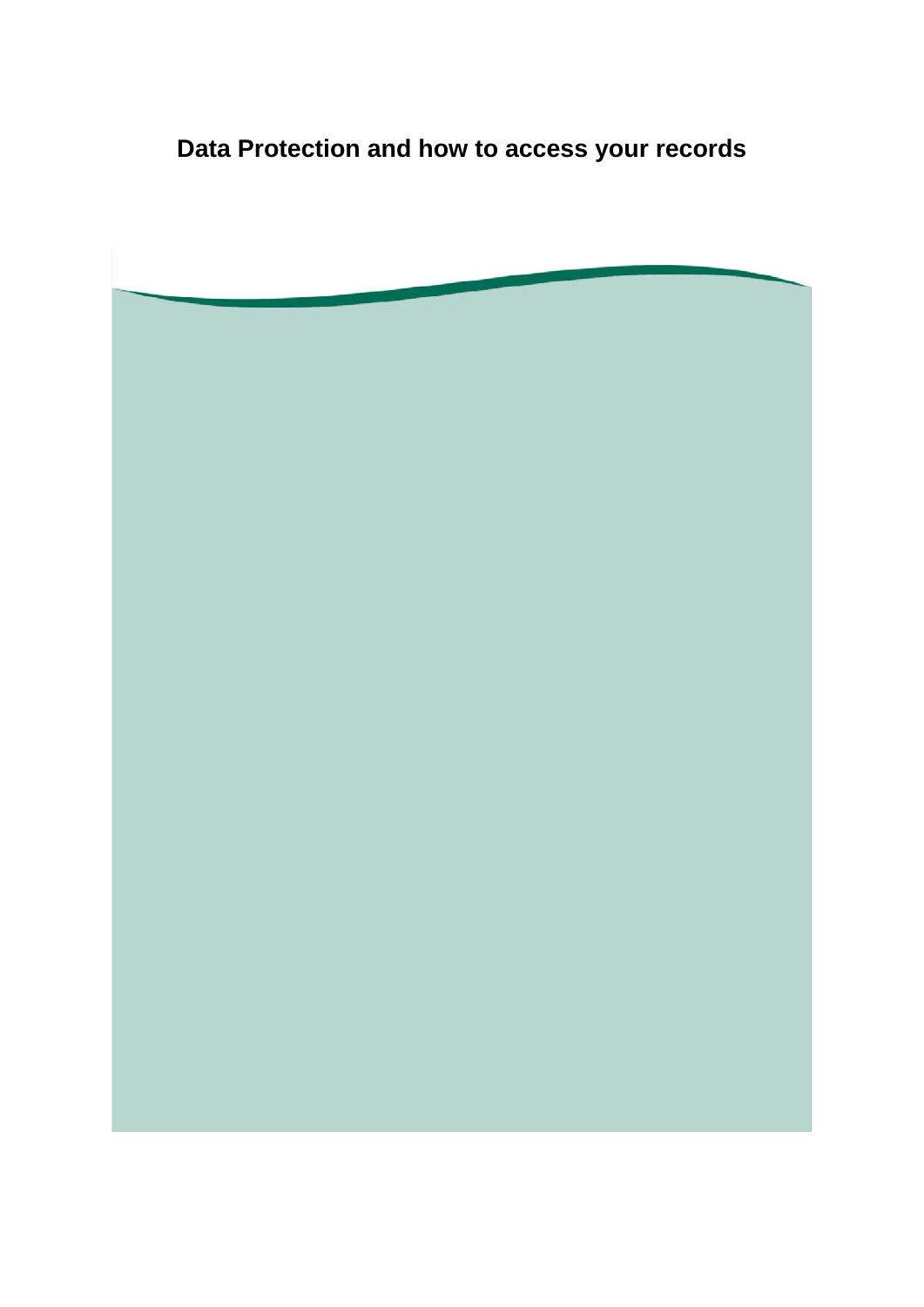**Data Protection and how to access your records**

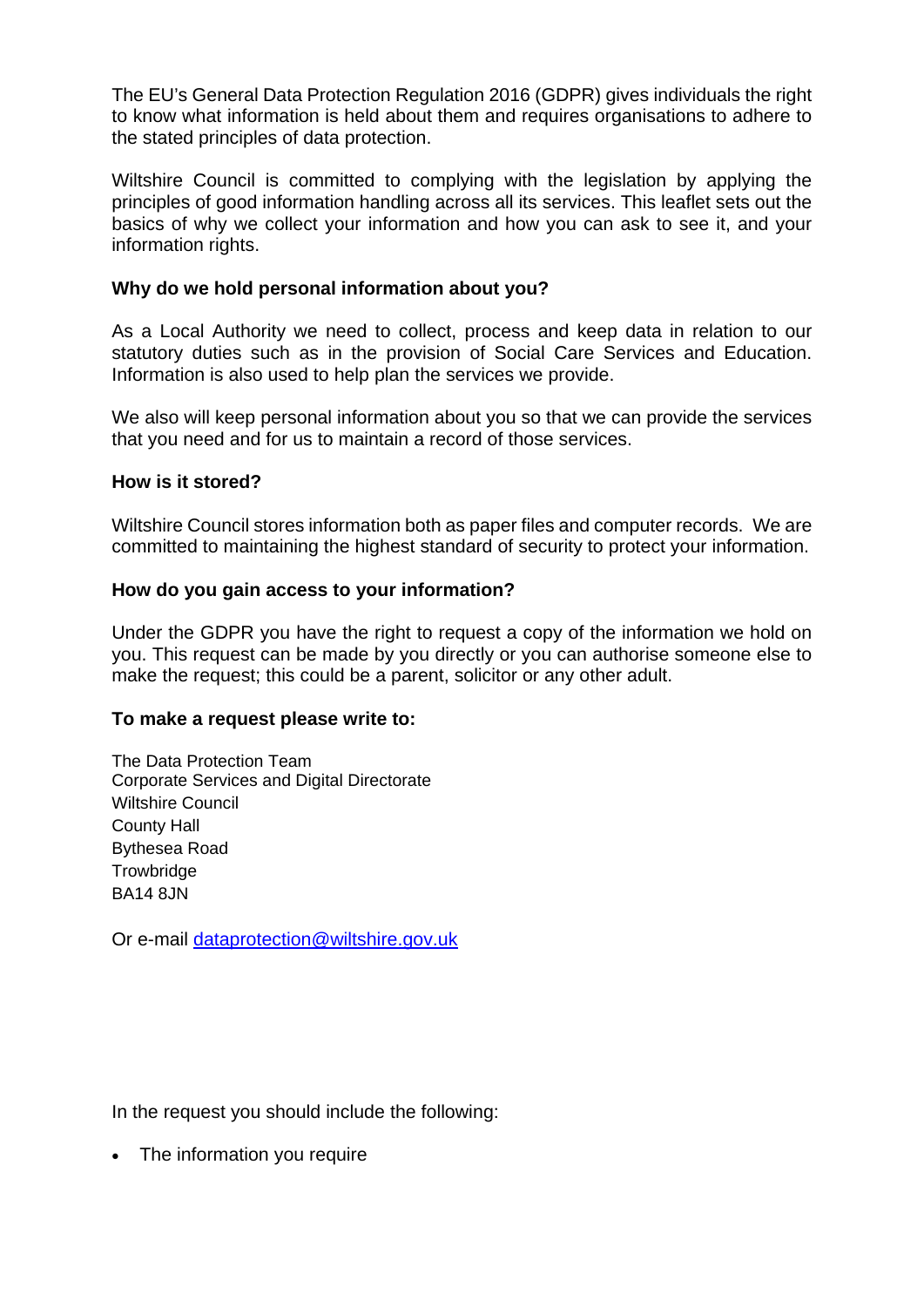The EU's General Data Protection Regulation 2016 (GDPR) gives individuals the right to know what information is held about them and requires organisations to adhere to the stated principles of data protection.

Wiltshire Council is committed to complying with the legislation by applying the principles of good information handling across all its services. This leaflet sets out the basics of why we collect your information and how you can ask to see it, and your information rights.

# **Why do we hold personal information about you?**

As a Local Authority we need to collect, process and keep data in relation to our statutory duties such as in the provision of Social Care Services and Education. Information is also used to help plan the services we provide.

We also will keep personal information about you so that we can provide the services that you need and for us to maintain a record of those services.

## **How is it stored?**

Wiltshire Council stores information both as paper files and computer records. We are committed to maintaining the highest standard of security to protect your information.

## **How do you gain access to your information?**

Under the GDPR you have the right to request a copy of the information we hold on you. This request can be made by you directly or you can authorise someone else to make the request; this could be a parent, solicitor or any other adult.

### **To make a request please write to:**

The Data Protection Team Corporate Services and Digital Directorate Wiltshire Council County Hall Bythesea Road **Trowbridge** BA14 8JN

Or e-mail [dataprotection@wiltshire.gov.uk](mailto:dataprotection@wiltshire.gov.uk)

In the request you should include the following:

• The information you require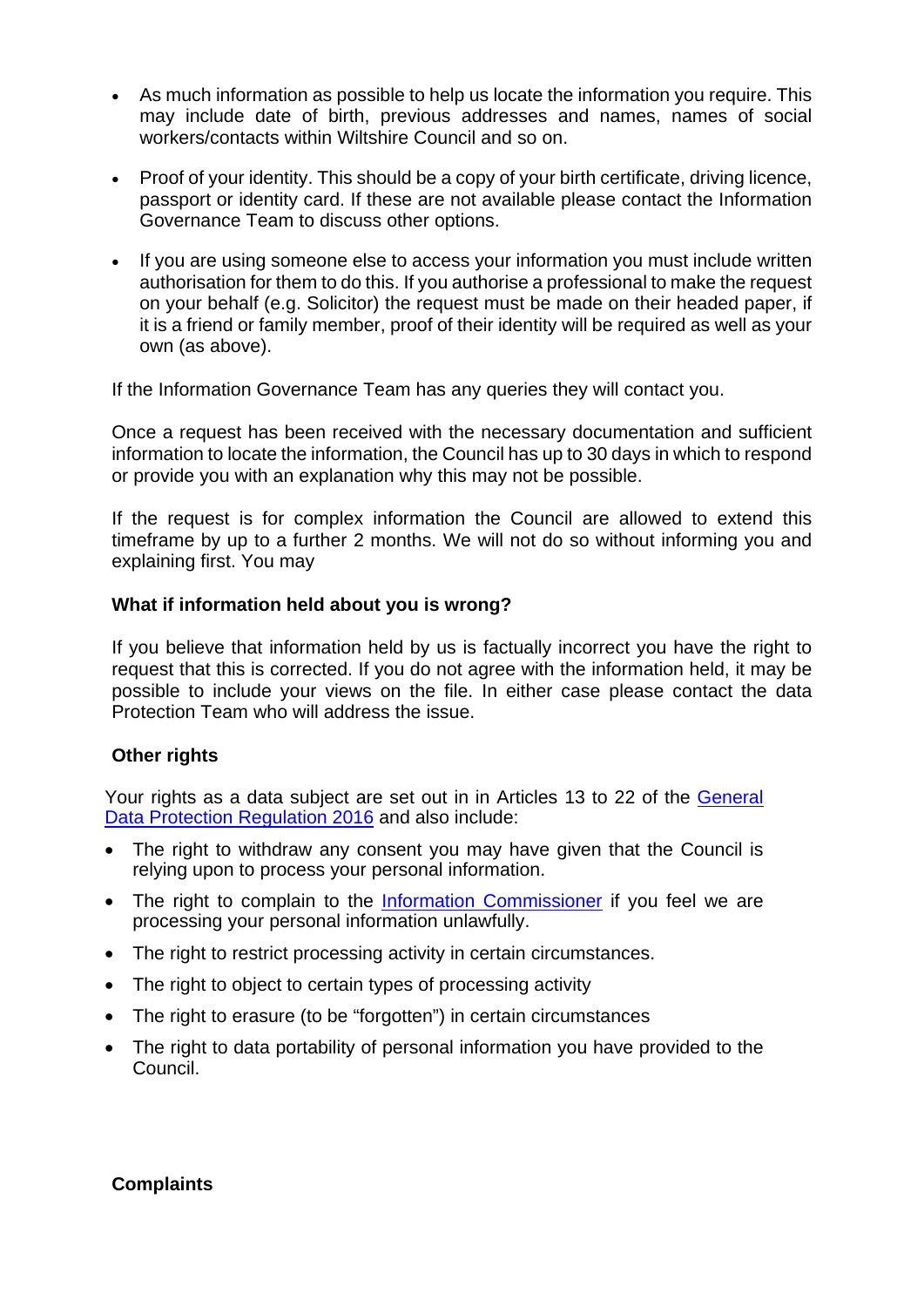- As much information as possible to help us locate the information you require. This may include date of birth, previous addresses and names, names of social workers/contacts within Wiltshire Council and so on.
- Proof of your identity. This should be a copy of your birth certificate, driving licence, passport or identity card. If these are not available please contact the Information Governance Team to discuss other options.
- If you are using someone else to access your information you must include written authorisation for them to do this. If you authorise a professional to make the request on your behalf (e.g. Solicitor) the request must be made on their headed paper, if it is a friend or family member, proof of their identity will be required as well as your own (as above).

If the Information Governance Team has any queries they will contact you.

Once a request has been received with the necessary documentation and sufficient information to locate the information, the Council has up to 30 days in which to respond or provide you with an explanation why this may not be possible.

If the request is for complex information the Council are allowed to extend this timeframe by up to a further 2 months. We will not do so without informing you and explaining first. You may

## **What if information held about you is wrong?**

If you believe that information held by us is factually incorrect you have the right to request that this is corrected. If you do not agree with the information held, it may be possible to include your views on the file. In either case please contact the data Protection Team who will address the issue.

# **Other rights**

Your rights as a data subject are set out in in Articles 13 to 22 of the [General](http://ec.europa.eu/justice/data-protection/reform/files/regulation_oj_en.pdf)  [Data Protection Regulation 2016](http://ec.europa.eu/justice/data-protection/reform/files/regulation_oj_en.pdf) and also include:

- The right to withdraw any consent you may have given that the Council is relying upon to process your personal information.
- The right to complain to the [Information Commissioner](https://ico.org.uk/concerns/) if you feel we are processing your personal information unlawfully.
- The right to restrict processing activity in certain circumstances.
- The right to object to certain types of processing activity
- The right to erasure (to be "forgotten") in certain circumstances
- The right to data portability of personal information you have provided to the Council.

### **Complaints**